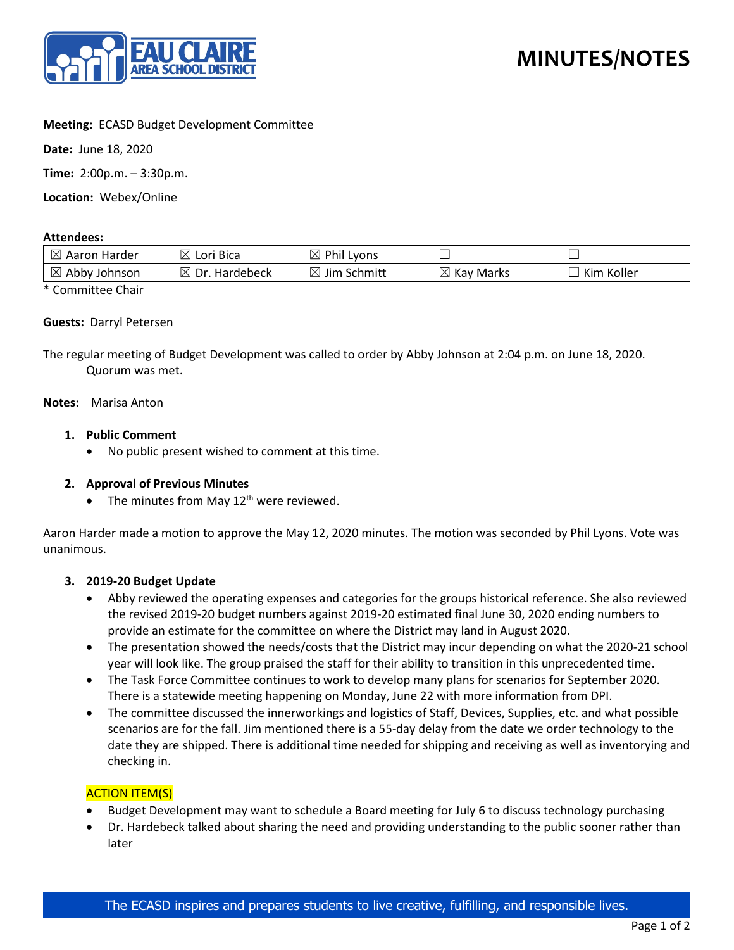

# **Meeting:** ECASD Budget Development Committee

**Date:** June 18, 2020

**Time:** 2:00p.m. – 3:30p.m.

**Location:** Webex/Online

### **Attendees:**

| $\boxtimes$<br>Harder<br>Aaron | $\boxtimes$<br>` Bica<br>LOr'  | ® Phi∟<br>Lyons                      |                          | --            |
|--------------------------------|--------------------------------|--------------------------------------|--------------------------|---------------|
| $\boxtimes$<br>Abby<br>Johnson | $\boxtimes$<br>Dr<br>Hardebeck | ↘<br>$\cdots$<br>Schmitt<br>Jım<br>' | $\boxtimes$<br>Kay Marks | Koller<br>Kim |

\* Committee Chair

### **Guests:** Darryl Petersen

The regular meeting of Budget Development was called to order by Abby Johnson at 2:04 p.m. on June 18, 2020. Quorum was met.

### **Notes:** Marisa Anton

## **1. Public Comment**

• No public present wished to comment at this time.

## **2. Approval of Previous Minutes**

• The minutes from May  $12<sup>th</sup>$  were reviewed.

Aaron Harder made a motion to approve the May 12, 2020 minutes. The motion was seconded by Phil Lyons. Vote was unanimous.

## **3. 2019-20 Budget Update**

- Abby reviewed the operating expenses and categories for the groups historical reference. She also reviewed the revised 2019-20 budget numbers against 2019-20 estimated final June 30, 2020 ending numbers to provide an estimate for the committee on where the District may land in August 2020.
- The presentation showed the needs/costs that the District may incur depending on what the 2020-21 school year will look like. The group praised the staff for their ability to transition in this unprecedented time.
- The Task Force Committee continues to work to develop many plans for scenarios for September 2020. There is a statewide meeting happening on Monday, June 22 with more information from DPI.
- The committee discussed the innerworkings and logistics of Staff, Devices, Supplies, etc. and what possible scenarios are for the fall. Jim mentioned there is a 55-day delay from the date we order technology to the date they are shipped. There is additional time needed for shipping and receiving as well as inventorying and checking in.

## **ACTION ITEM(S)**

- Budget Development may want to schedule a Board meeting for July 6 to discuss technology purchasing
- Dr. Hardebeck talked about sharing the need and providing understanding to the public sooner rather than later